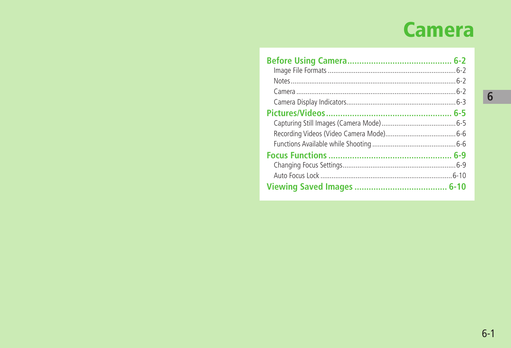# **Camera**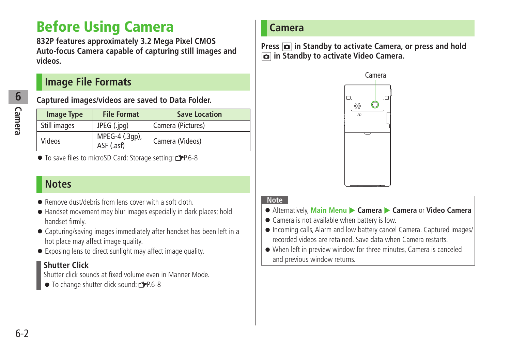## <span id="page-1-0"></span>**Before Using Camera**

**832P features approximately 3.2 Mega Pixel CMOS Auto-focus Camera capable of capturing still images and videos.**

### **Image File Formats**

**6**

### **Captured images/videos are saved to Data Folder.**

| <b>Image Type</b> | <b>File Format</b>           | <b>Save Location</b> |
|-------------------|------------------------------|----------------------|
| Still images      | JPEG (.jpg)                  | Camera (Pictures)    |
| Videos            | MPEG-4 (.3gp),<br>ASF (.asf) | Camera (Videos)      |

● To save files to microSD Card: Storage setting: r P.6-8

### **Notes**

- Remove dust/debris from lens cover with a soft cloth.
- Handset movement may blur images especially in dark places; hold handset firmly.
- Capturing/saving images immediately after handset has been left in a hot place may affect image quality.
- Exposing lens to direct sunlight may affect image quality.

### **Shutter Click**

Shutter click sounds at fixed volume even in Manner Mode.

 $\bullet$  To change shutter click sound:  $\leq P.6-8$ 

### **Camera**

**Press**  $\boxed{\bullet}$  **in Standby to activate Camera, or press and hold in Standby to activate Video Camera.**



#### **Note**

- Alternatively, **Main Menu** X **Camera** X **Camera** or **Video Camera**
- Camera is not available when battery is low.
- Incoming calls, Alarm and low battery cancel Camera. Captured images/ recorded videos are retained. Save data when Camera restarts.
- When left in preview window for three minutes, Camera is canceled and previous window returns.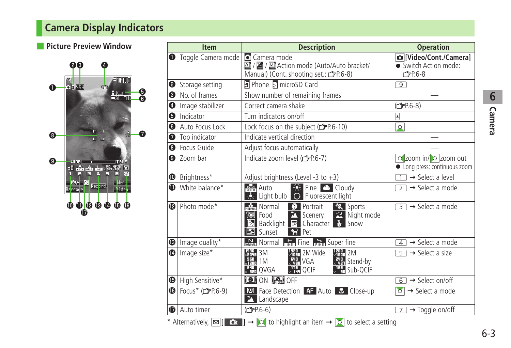## <span id="page-2-0"></span>**Camera Display Indicators**

### ■ **Picture Preview Window**



|              | <b>Item</b>                      | <b>Description</b>                                                                                                                                                                                                     | <b>Operation</b>                                                     |
|--------------|----------------------------------|------------------------------------------------------------------------------------------------------------------------------------------------------------------------------------------------------------------------|----------------------------------------------------------------------|
| $\bullet$    | Toggle Camera mode   Camera mode | A / 결 / 젤 Action mode (Auto/Auto bracket/<br>Manual) (Cont. shooting set.: £P.6-8)                                                                                                                                     | [Video/Cont./Camera]<br>• Switch Action mode:<br>C <sub>FP.6-8</sub> |
| ❷            | Storage setting                  | D Phone a microSD Card                                                                                                                                                                                                 | 9                                                                    |
| ❸            | No. of frames                    | Show number of remaining frames                                                                                                                                                                                        |                                                                      |
| ❹            | Image stabilizer                 | Correct camera shake                                                                                                                                                                                                   | ( <del>C</del> ) P.6-8)                                              |
| ❺            | Indicator                        | Turn indicators on/off                                                                                                                                                                                                 | A                                                                    |
| ❺            | Auto Focus Lock                  | Lock focus on the subject (CFP.6-10)                                                                                                                                                                                   | $\circ$                                                              |
| ❼            | Top indicator                    | Indicate vertical direction                                                                                                                                                                                            |                                                                      |
| ❸            | Focus Guide                      | Adjust focus automatically                                                                                                                                                                                             |                                                                      |
| ❹            | Zoom bar                         | Indicate zoom level (r P.6-7)                                                                                                                                                                                          | Q zoom in/ O zoom out<br>• Long press: continuous zoom               |
| ◍            | Brightness*                      | Adjust brightness (Level -3 to $+3$ )                                                                                                                                                                                  | $\rightarrow$ Select a level<br>$\overline{1}$                       |
| ❶            | White balance*                   | <b>Rufo</b> Auto<br>$\Rightarrow$ Fine $\bullet$ Cloudy<br><b>External Execution</b> C Fluorescent light                                                                                                               | $\rightarrow$ Select a mode<br>$\overline{2}$                        |
| ®            | Photo mode*                      | <b>D</b> Portrait<br><b>ROBERT</b> Normal<br><b>Ex</b> Sports<br><b>2</b> Scenery<br>Night mode<br><b>TOI</b> Food<br><b>Ex Backlight ▼</b> Character <b>&amp;</b> Snow<br><b>El</b> Sunset<br>$\leftrightarrow$ Pet   | $\overline{\mathcal{F}}$ $\rightarrow$ Select a mode                 |
| ®∣           | Image quality*                   | $\frac{N}{\text{optical}}$ Normal $\frac{E}{\text{LRE}}$ Fine $\frac{S}{\text{LRE}}$ Super fine                                                                                                                        | $\rightarrow$ Select a mode<br>4 <sup>1</sup>                        |
| ❶            | Image size*                      | <b>XHM</b> 2M Wide<br>$\frac{1}{2}$ 2M<br>$H_1$ 3M<br><b>X HI VGA</b><br>$\frac{1}{2}$ 1M<br><b>Eth</b> Stand-by<br><b>REAL</b> QVGA<br>$\frac{1}{x}$ H <sub>t</sub> QCIF<br>$x$ <sup>12</sup> <sub>1</sub> , Sub-QCIF | $\overline{5}$ $\rightarrow$ Select a size                           |
| ⊕∣           | High Sensitive*                  | <b>O</b> ON <b>P</b> OFF                                                                                                                                                                                               | $\rightarrow$ Select on/off<br>6                                     |
| $\mathbf{G}$ | Focus* (rep.6-9)                 | <b>ED</b> Face Detection <b>AF</b> Auto <b>C</b> Close-up<br>Landscape<br>A                                                                                                                                            | $\circ$<br>$\rightarrow$ Select a mode                               |
| ⊕            | Auto timer                       | $(\mathscr{P}P.6-6)$                                                                                                                                                                                                   | $\rightarrow$ Toggle on/off<br>71                                    |
|              |                                  | * Alternatively, $\boxed{\circ}$ $\boxed{\circ}$ $\rightarrow$ $\boxed{\circ}$ to highlight an item $\rightarrow$ $\boxed{\circ}$ to select a setting                                                                  |                                                                      |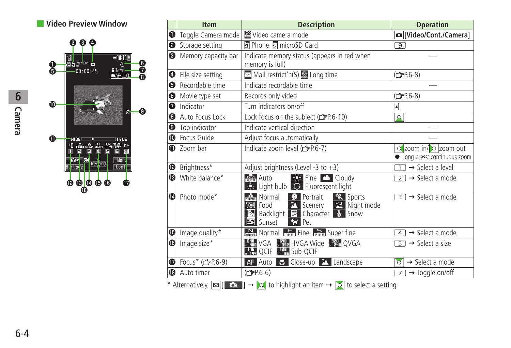### ■ **Video Preview Window**



|    | <b>Item</b>                                                                                                                                           | <b>Description</b>                                                                                                                                                                                                  | <b>Operation</b>                                     |
|----|-------------------------------------------------------------------------------------------------------------------------------------------------------|---------------------------------------------------------------------------------------------------------------------------------------------------------------------------------------------------------------------|------------------------------------------------------|
| O  | Toggle Camera mode                                                                                                                                    | 曾Video camera mode                                                                                                                                                                                                  | [Video/Cont./Camera]                                 |
| ❷  | Storage setting                                                                                                                                       | 同 Phone 5 microSD Card                                                                                                                                                                                              | $9^{-}$                                              |
| ❸  | Memory capacity bar                                                                                                                                   | Indicate memory status (appears in red when<br>memory is full)                                                                                                                                                      |                                                      |
| ❹  | File size setting                                                                                                                                     | Mail restrict'n(S) & Long time                                                                                                                                                                                      | (子P.6-8)                                             |
| ❺  | Recordable time                                                                                                                                       | Indicate recordable time                                                                                                                                                                                            |                                                      |
| 6∣ | Movie type set                                                                                                                                        | Records only video                                                                                                                                                                                                  | ( <del>f</del> P.6-8)                                |
| ❼  | Indicator                                                                                                                                             | Turn indicators on/off                                                                                                                                                                                              | ۱                                                    |
| ❸∣ | Auto Focus Lock                                                                                                                                       | Lock focus on the subject (repr.6-10)                                                                                                                                                                               | $\Omega$                                             |
| ❸  | Top indicator                                                                                                                                         | Indicate vertical direction                                                                                                                                                                                         |                                                      |
| ❶  | Focus Guide                                                                                                                                           | Adjust focus automatically                                                                                                                                                                                          |                                                      |
| O  | Zoom bar                                                                                                                                              | Indicate zoom level (r P.6-7)                                                                                                                                                                                       | o zoom in/ O zoom out<br>long press: continuous zoom |
| ⊕∣ | Brightness*                                                                                                                                           | Adjust brightness (Level -3 to $+3$ )                                                                                                                                                                               | $\rightarrow$ Select a level                         |
| ®∣ | White balance*                                                                                                                                        | $\frac{1}{200}$ Fine $\bigcirc$ Cloudy<br>Auto<br><b>BARE Light bulb C</b> Fluorescent light                                                                                                                        | $\overline{2}$ $\rightarrow$ Select a mode           |
| ❶  | Photo mode*                                                                                                                                           | Sports<br>$\frac{1}{\text{mmm}}$ Normal $\frac{1}{\sqrt{2}}$ Portrait<br><b>X</b> Scenery X Night mode<br><b>TOI</b> Food<br><b>Backlight B</b> Character <b>&amp;</b> Snow<br><b>E</b> Sunset<br>$\rightarrow$ Pet | $\overline{3}$ $\rightarrow$ Select a mode           |
|    | $\bigcirc$ Image quality*                                                                                                                             | $\frac{N}{\text{obsnet}}$ Normal $\frac{F}{\text{CME}}$ Fine $\frac{S}{\text{BME}}$ Super fine                                                                                                                      | $\rightarrow$ Select a mode<br>$\overline{4}$        |
|    | $\bullet$ Image size*                                                                                                                                 | 、 <mark>韩</mark> ,VGA 、韩,HVGA Wide 、韩,QVGA<br>、「H QCIF 、「H Sub-QCIF                                                                                                                                                 | $\overline{5}$ $\rightarrow$ Select a size           |
| ❶  | Focus* (rgP.6-9)                                                                                                                                      | AF Auto <b>&amp;</b> Close-up <b>A</b> Landscape                                                                                                                                                                    | $\rightarrow$ Select a mode<br>$\circ$               |
| ®  | Auto timer                                                                                                                                            | (子P.6-6)                                                                                                                                                                                                            | $\rightarrow$ Toggle on/off<br>7                     |
|    | * Alternatively, $\boxed{\circ}$ $\boxed{\circ}$ $\rightarrow$ $\boxed{\circ}$ to highlight an item $\rightarrow$ $\boxed{\circ}$ to select a setting |                                                                                                                                                                                                                     |                                                      |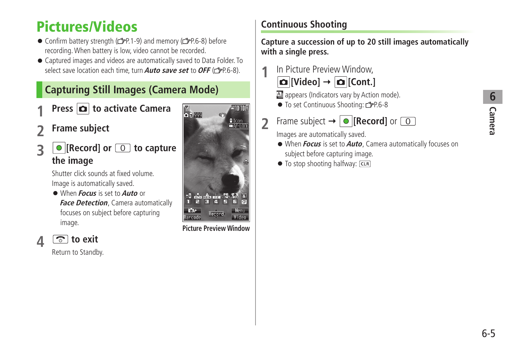# <span id="page-4-0"></span>**Pictures/Videos**

- Confirm battery strength (rep.1-9) and memory (rep.6-8) before recording. When battery is low, video cannot be recorded.
- Captured images and videos are automatically saved to Data Folder. To select save location each time, turn **Auto save set** to **OFF** ( $\leq$ P6-8).

## **Capturing Still Images (Camera Mode)**

- **Press**  $\boxed{\text{O}}$  **to activate Camera**
- **2 Frame subject**
- **3 [Record]** or  $\boxed{0}$  to capture **the image**

Shutter click sounds at fixed volume. Image is automatically saved.

- When **Focus** is set to **Auto** or **Face Detection**, Camera automatically focuses on subject before capturing image.
- **4 to exit**

Return to Standby.



**Picture Preview Window**

## **Continuous Shooting**

**Capture a succession of up to 20 still images automatically with a single press.**

**1** In Picture Preview Window,



**A** appears (Indicators vary by Action mode).

- To set Continuous Shooting: <del>『</del>P.6-8
- **2** Frame subject  $\rightarrow$  **[Record]** or  $\boxed{0}$

Images are automatically saved.

- When **Focus** is set to **Auto**, Camera automatically focuses on subject before capturing image.
- $\bullet$  To stop shooting halfway:  $\overline{C \cup R}$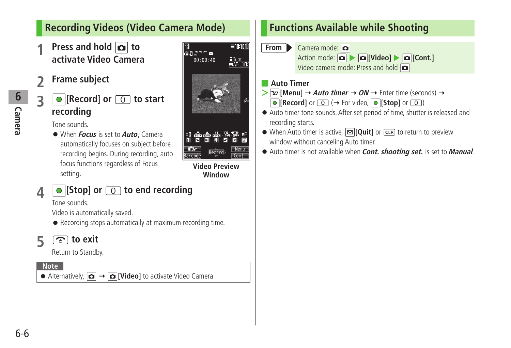### <span id="page-5-0"></span>**Recording Videos (Video Camera Mode)**

- **Press and hold**  $\boxed{\bullet}$  **to activate Video Camera**
- **2 Frame subject**
- **3 e** [Record] or **O** to start **recording**

Tone sounds.

● When **Focus** is set to **Auto**, Camera automatically focuses on subject before recording begins. During recording, auto focus functions regardless of Focus setting.



**Video Preview Window**

 $Cont$ 

**Barcode** 

## **4 [Stop] or to end recording**

Tone sounds.

Video is automatically saved.

● Recording stops automatically at maximum recording time.

**5 b** exit

Return to Standby.

**Note**

● Alternatively,  $\boxed{\bullet}$  →  $\boxed{\bullet}$  [Video] to activate Video Camera

## **Functions Available while Shooting**

**From** Camera mode:  $\bullet$ Action mode:  $\boxed{\bullet}$   $\boxed{\bullet}$  **[Video]**  $\boxed{\bullet}$  **[Cont.]** Video camera mode: Press and hold

#### ■ **Auto Timer**

- $\triangleright$  **[x**<sup>*l*</sup>**]** [Menu]  $\rightarrow$  *Auto timer*  $\rightarrow$  *ON*  $\rightarrow$  Enter time (seconds)  $\rightarrow$  $\bullet$  [Record] or  $\circledcirc$  ( $\rightarrow$  For video,  $\circledcirc$  [Stop] or  $\circledcirc$ )
- Auto timer tone sounds. After set period of time, shutter is released and recording starts.
- When Auto timer is active, **[Quit]** or **CLR** to return to preview window without canceling Auto timer.
- Auto timer is not available when **Cont. shooting set.** is set to **Manual**.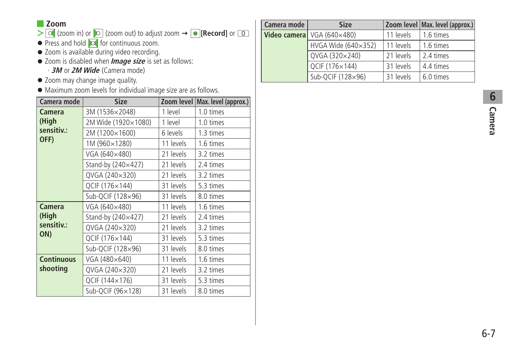#### ■ **Zoom**

- > **○** (zoom in) or **D** (zoom out) to adjust zoom  $\rightarrow$  **0 [Record]** or **0**
- Press and hold **o** for continuous zoom.
- Zoom is available during video recording.
- Zoom is disabled when **Image size** is set as follows:
	- ・ **3M** or **2M Wide** (Camera mode)
- Zoom may change image quality.
- Maximum zoom levels for individual image size are as follows.

| Camera mode       | <b>Size</b>         |           | Zoom level   Max. level (approx.) |
|-------------------|---------------------|-----------|-----------------------------------|
| Camera            | 3M (1536×2048)      | 1 level   | 1.0 times                         |
| (High             | 2M Wide (1920×1080) | 1 level   | 1.0 times                         |
| sensitiv.:        | 2M (1200×1600)      | 6 levels  | 1.3 times                         |
| OFF)              | 1M (960×1280)       | 11 levels | 1.6 times                         |
|                   | VGA (640×480)       | 21 levels | 3.2 times                         |
|                   | Stand-by (240×427)  | 21 levels | 2.4 times                         |
|                   | QVGA (240×320)      | 21 levels | 3.2 times                         |
|                   | QCIF (176×144)      | 31 levels | 5.3 times                         |
|                   | Sub-QCIF (128×96)   | 31 levels | 8.0 times                         |
| Camera            | VGA (640×480)       | 11 levels | 1.6 times                         |
| (High             | Stand-by (240×427)  | 21 levels | 2.4 times                         |
| sensitiv.:        | QVGA (240×320)      | 21 levels | 3.2 times                         |
| ON)               | QCIF (176×144)      | 31 levels | 5.3 times                         |
|                   | Sub-QCIF (128×96)   | 31 levels | 8.0 times                         |
| <b>Continuous</b> | VGA (480×640)       | 11 levels | 1.6 times                         |
| shooting          | QVGA (240×320)      | 21 levels | 3.2 times                         |
|                   | QCIF (144×176)      | 31 levels | 5.3 times                         |
|                   | Sub-QCIF (96×128)   | 31 levels | 8.0 times                         |

| Camera mode | <b>Size</b>                |           | Zoom level Max. level (approx.) |
|-------------|----------------------------|-----------|---------------------------------|
|             | Video camera VGA (640×480) | 11 levels | 1.6 times                       |
|             | HVGA Wide (640×352)        | 11 levels | 1.6 times                       |
|             | QVGA (320×240)             | 21 levels | 2.4 times                       |
|             | QCIF (176×144)             | 31 levels | 4.4 times                       |
|             | Sub-QCIF (128×96)          | 31 levels | 6.0 times                       |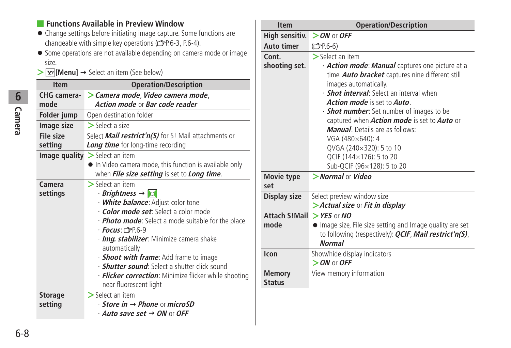### ■ **Functions Available in Preview Window**

- Change settings before initiating image capture. Some functions are changeable with simple key operations (FP.6-3, P.6-4).
- Some operations are not available depending on camera mode or image size.
- $\triangleright$  **[Menu]**  $\rightarrow$  Select an item (See below)

| <b>Item</b>               | <b>Operation/Description</b>                                                                                                                                                                                                                                                                                                                                                                                                                                                                                                                          |  |
|---------------------------|-------------------------------------------------------------------------------------------------------------------------------------------------------------------------------------------------------------------------------------------------------------------------------------------------------------------------------------------------------------------------------------------------------------------------------------------------------------------------------------------------------------------------------------------------------|--|
| CHG camera-<br>mode       | > Camera mode, Video camera mode,<br>Action mode or Bar code reader                                                                                                                                                                                                                                                                                                                                                                                                                                                                                   |  |
| Folder jump               | Open destination folder                                                                                                                                                                                                                                                                                                                                                                                                                                                                                                                               |  |
| Image size                | $>$ Select a size                                                                                                                                                                                                                                                                                                                                                                                                                                                                                                                                     |  |
| File size<br>setting      | Select <i>Mail restrict'n(S)</i> for S! Mail attachments or<br><b>Long time</b> for long-time recording                                                                                                                                                                                                                                                                                                                                                                                                                                               |  |
|                           | <b>Image quality</b> $>$ Select an item<br>In Video camera mode, this function is available only<br>when <b>File size setting</b> is set to <b>Long time</b> .                                                                                                                                                                                                                                                                                                                                                                                        |  |
| Camera<br>settings        | $\triangleright$ Select an item<br>$\cdot$ Brightness $\rightarrow$ 0<br>· <b>White balance</b> : Adjust color tone<br>· <b>Color mode set</b> : Select a color mode<br>· <b>Photo mode</b> : Select a mode suitable for the place<br>$·$ Focus: r <sup><math>2</math></sup> P.6-9<br>· Img. stabilizer: Minimize camera shake<br>automatically<br>· <b>Shoot with frame</b> : Add frame to image<br>· <b>Shutter sound</b> : Select a shutter click sound<br>· <b>Flicker correction</b> : Minimize flicker while shooting<br>near fluorescent light |  |
| <b>Storage</b><br>setting | $\geq$ Select an item<br>$\cdot$ Store in $\rightarrow$ Phone or microSD<br>$\cdot$ Auto save set $\rightarrow$ ON or OFF                                                                                                                                                                                                                                                                                                                                                                                                                             |  |

| <b>Item</b>                    | <b>Operation/Description</b>                                                                                                                                                                                                                                                                                                                                                                                                                                                                    |  |
|--------------------------------|-------------------------------------------------------------------------------------------------------------------------------------------------------------------------------------------------------------------------------------------------------------------------------------------------------------------------------------------------------------------------------------------------------------------------------------------------------------------------------------------------|--|
| High sensitiv.                 | $>$ ON or OFF                                                                                                                                                                                                                                                                                                                                                                                                                                                                                   |  |
| <b>Auto timer</b>              | $(\mathcal{C}$ P.6-6)                                                                                                                                                                                                                                                                                                                                                                                                                                                                           |  |
| Cont.<br>shooting set.         | $>$ Select an item<br>· Action mode: Manual captures one picture at a<br>time. Auto bracket captures nine different still<br>images automatically.<br><b>Shot interval</b> : Select an interval when<br>Action mode is set to Auto.<br>· <b><i>Shot number</i></b> : Set number of images to be<br>captured when Action mode is set to Auto or<br><b>Manual</b> Details are as follows:<br>VGA (480×640): 4<br>QVGA (240×320): 5 to 10<br>QCIF (144×176): 5 to 20<br>Sub-QCIF (96×128): 5 to 20 |  |
| Movie type<br>set              | $>$ Normal or Video                                                                                                                                                                                                                                                                                                                                                                                                                                                                             |  |
| Display size                   | Select preview window size<br>> Actual size or Fit in display                                                                                                                                                                                                                                                                                                                                                                                                                                   |  |
| Attach S!Mail<br>mode          | $>$ YES or NO<br>Image size, File size setting and Image quality are set<br>to following (respectively): <i>QCIF, Mail restrict'n(S)</i> ,<br><b>Normal</b>                                                                                                                                                                                                                                                                                                                                     |  |
| Icon                           | Show/hide display indicators<br>$>$ ON or OFF                                                                                                                                                                                                                                                                                                                                                                                                                                                   |  |
| <b>Memory</b><br><b>Status</b> | View memory information                                                                                                                                                                                                                                                                                                                                                                                                                                                                         |  |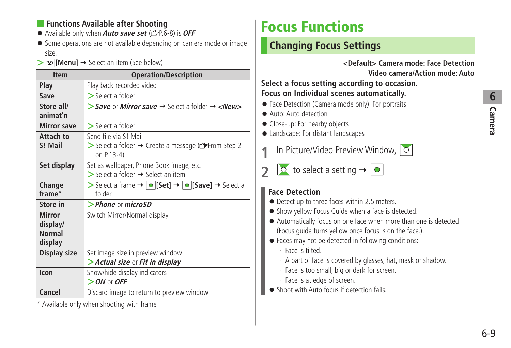### <span id="page-8-0"></span>■ **Functions Available after Shooting**

- Available only when **Auto save set** (**<del>e</del>P.6-8**) is **OFF**
- Some operations are not available depending on camera mode or image size.
- $\triangleright$  **[Menu]**  $\rightarrow$  Select an item (See below)

| <b>Item</b>                                           | <b>Operation/Description</b>                                                                                                         |
|-------------------------------------------------------|--------------------------------------------------------------------------------------------------------------------------------------|
| Play                                                  | Play back recorded video                                                                                                             |
| Save                                                  | $\geq$ Select a folder                                                                                                               |
| Store all/<br>animat'n                                | > Save or Mirror save $\rightarrow$ Select a folder $\rightarrow$ <new></new>                                                        |
| <b>Mirror save</b>                                    | $>$ Select a folder                                                                                                                  |
| Attach to<br>S! Mail                                  | Send file via S! Mail<br>> Select a folder → Create a message ( $\mathbb{C}$ From Step 2<br>on P.13-4)                               |
| Set display                                           | Set as wallpaper, Phone Book image, etc.<br>$\triangleright$ Select a folder $\rightarrow$ Select an item                            |
| Change<br>frame*                                      | > Select a frame $\rightarrow \lceil \bullet \rceil$ Set] $\rightarrow \lceil \bullet \rceil$ Save] $\rightarrow$ Select a<br>folder |
| Store in                                              | $>$ Phone or microSD                                                                                                                 |
| <b>Mirror</b><br>display/<br><b>Normal</b><br>display | Switch Mirror/Normal display                                                                                                         |
| Display size                                          | Set image size in preview window<br>> Actual size or Fit in display                                                                  |
| Icon                                                  | Show/hide display indicators<br>$>$ ON or OFF                                                                                        |
| Cancel                                                | Discard image to return to preview window                                                                                            |

\* Available only when shooting with frame

# **Focus Functions**

## **Changing Focus Settings**

**<Default> Camera mode: Face Detection Video camera/Action mode: Auto**

### **Select a focus setting according to occasion. Focus on Individual scenes automatically.**

- Face Detection (Camera mode only): For portraits
- Auto: Auto detection
- Close-up: For nearby objects
- Landscape: For distant landscapes
- **1** In Picture/Video Preview Window,
	- $\boxed{\circ}$  to select a setting  $\rightarrow \boxed{\circ}$

### **Face Detection**

- Detect up to three faces within 2.5 meters.
- Show yellow Focus Guide when a face is detected.
- Automatically focus on one face when more than one is detected (Focus guide turns yellow once focus is on the face.).
- Faces may not be detected in following conditions:
	- ・ Face is tilted.
	- ・ A part of face is covered by glasses, hat, mask or shadow.
	- ・ Face is too small, big or dark for screen.
	- ・ Face is at edge of screen.
- Shoot with Auto focus if detection fails.